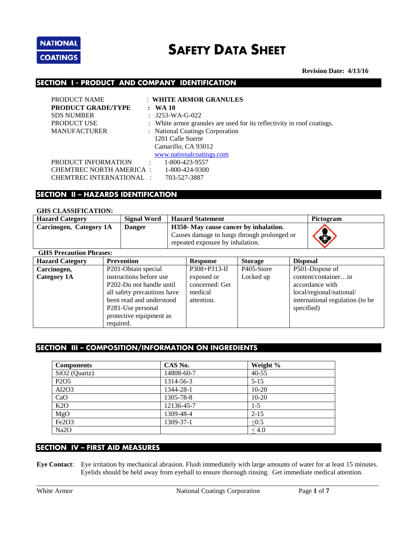

# **SAFETY DATA SHEET**

 **Revision Date: 4/13/16**

## **SECTION I - PRODUCT AND COMPANY IDENTIFICATION**

| PRODUCT NAME              |              | : WHITE ARMOR GRANULES                                                 |
|---------------------------|--------------|------------------------------------------------------------------------|
| <b>PRODUCT GRADE/TYPE</b> |              | $:$ WA 10                                                              |
| <b>SDS NUMBER</b>         |              | : $J253-WA-G-022$                                                      |
| <b>PRODUCT USE</b>        |              | : White armor granules are used for its reflectivity in roof coatings. |
| <b>MANUFACTURER</b>       |              | : National Coatings Corporation                                        |
|                           |              | 1201 Calle Suerte                                                      |
|                           |              | Camarillo, CA 93012                                                    |
|                           |              | www.nationalcoatings.com                                               |
| PRODUCT INFORMATION       | $\mathbf{L}$ | 1-800-423-9557                                                         |
| CHEMTREC NORTH AMERICA:   |              | 1-800-424-9300                                                         |
| CHEMTREC INTERNATIONAL :  |              | 703-527-3887                                                           |

## **SECTION II – HAZARDS IDENTIFICATION**

#### **GHS CLASSIFICATION:**

| <b>Hazard Category</b>  | <b>Signal Word</b> | <b>Hazard Statement</b>                                                                                                  | Pictogram |
|-------------------------|--------------------|--------------------------------------------------------------------------------------------------------------------------|-----------|
| Carcinogen, Category 1A | <b>Danger</b>      | H350- May cause cancer by inhalation.<br>Causes damage to lungs through prolonged or<br>repeated exposure by inhalation. | Ġ         |
| CHS Precontion Phroses. |                    |                                                                                                                          |           |

| GILO I TECAULION I III ASES. |                                       |                 |                |                                 |
|------------------------------|---------------------------------------|-----------------|----------------|---------------------------------|
| <b>Hazard Category</b>       | <b>Prevention</b>                     | <b>Response</b> | <b>Storage</b> | <b>Disposal</b>                 |
| Carcinogen,                  | P201-Obtain special                   | P308+P313-If    | P405-Store     | P501-Dispose of                 |
| Category 1A                  | instructions before use               | exposed or      | Locked up      | content/containerin             |
|                              | P <sub>202</sub> -Do not handle until | concerned: Get  |                | accordance with                 |
|                              | all safety precautions have           | medical         |                | local/regional/national/        |
|                              | been read and understood              | attention.      |                | international regulation (to be |
|                              | P <sub>281</sub> -Use personal        |                 |                | specified)                      |
|                              | protective equipment as               |                 |                |                                 |
|                              | required.                             |                 |                |                                 |

# **SECTION III – COMPOSITION/INFORMATION ON INGREDIENTS**

| <b>Components</b>             | CAS No.    | Weight %   |
|-------------------------------|------------|------------|
| SiO <sub>2</sub> (Quartz)     | 14808-60-7 | $40 - 55$  |
| P <sub>2</sub> O <sub>5</sub> | 1314-56-3  | $5 - 15$   |
| Al2O3                         | 1344-28-1  | $10 - 20$  |
| CaO                           | 1305-78-8  | $10 - 20$  |
| K2O                           | 12136-45-7 | $1 - 5$    |
| MgO                           | 1309-48-4  | $2 - 15$   |
| Fe2O <sub>3</sub>             | 1309-37-1  | $\leq 0.5$ |
| Na2O                          |            | $\leq 4.0$ |

# **SECTION IV – FIRST AID MEASURES**

**Eye Contact**: Eye irritation by mechanical abrasion. Flush immediately with large amounts of water for at least 15 minutes. Eyelids should be held away from eyeball to ensure thorough rinsing. Get immediate medical attention.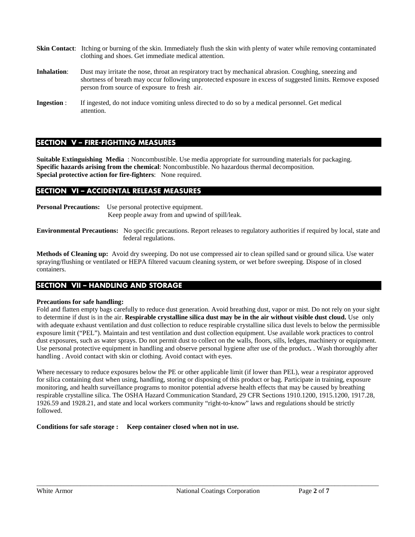- **Skin Contact:** Itching or burning of the skin. Immediately flush the skin with plenty of water while removing contaminated clothing and shoes. Get immediate medical attention.
- **Inhalation:** Dust may irritate the nose, throat an respiratory tract by mechanical abrasion. Coughing, sneezing and shortness of breath may occur following unprotected exposure in excess of suggested limits. Remove exposed person from source of exposure to fresh air.
- **Ingestion** : If ingested, do not induce vomiting unless directed to do so by a medical personnel. Get medical attention.

# **SECTION V – FIRE-FIGHTING MEASURES**

**Suitable Extinguishing Media** : Noncombustible. Use media appropriate for surrounding materials for packaging. **Specific hazards arising from the chemical**: Noncombustible. No hazardous thermal decomposition. **Special protective action for fire-fighters**: None required.

## **SECTION VI – ACCIDENTAL RELEASE MEASURES**

**Personal Precautions:** Use personal protective equipment. Keep people away from and upwind of spill/leak.

**Environmental Precautions:** No specific precautions. Report releases to regulatory authorities if required by local, state and federal regulations.

**Methods of Cleaning up:** Avoid dry sweeping. Do not use compressed air to clean spilled sand or ground silica. Use water spraying/flushing or ventilated or HEPA filtered vacuum cleaning system, or wet before sweeping. Dispose of in closed containers.

## **SECTION VII – HANDLING AND STORAGE**

#### **Precautions for safe handling:**

Fold and flatten empty bags carefully to reduce dust generation. Avoid breathing dust, vapor or mist. Do not rely on your sight to determine if dust is in the air. **Respirable crystalline silica dust may be in the air without visible dust cloud.** Use only with adequate exhaust ventilation and dust collection to reduce respirable crystalline silica dust levels to below the permissible exposure limit ("PEL"). Maintain and test ventilation and dust collection equipment. Use available work practices to control dust exposures, such as water sprays. Do not permit dust to collect on the walls, floors, sills, ledges, machinery or equipment. Use personal protective equipment in handling and observe personal hygiene after use of the product**.** . Wash thoroughly after handling . Avoid contact with skin or clothing. Avoid contact with eyes.

Where necessary to reduce exposures below the PE or other applicable limit (if lower than PEL), wear a respirator approved for silica containing dust when using, handling, storing or disposing of this product or bag. Participate in training, exposure monitoring, and health surveillance programs to monitor potential adverse health effects that may be caused by breathing respirable crystalline silica. The OSHA Hazard Communication Standard, 29 CFR Sections 1910.1200, 1915.1200, 1917.28, 1926.59 and 1928.21, and state and local workers community "right-to-know" laws and regulations should be strictly followed.

**Conditions for safe storage : Keep container closed when not in use.**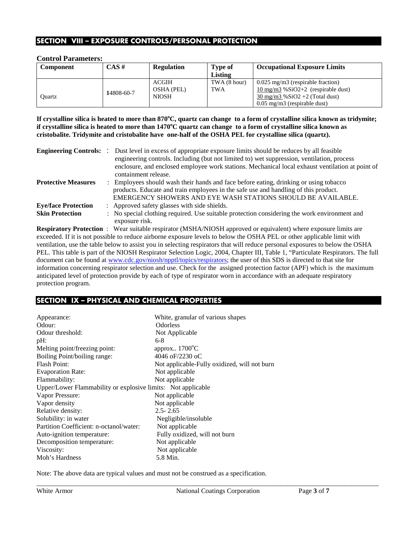# **SECTION VIII – EXPOSURE CONTROLS/PERSONAL PROTECTION**

#### **Control Parameters:**

| <b>Component</b> | CAS #      | <b>Regulation</b> | Type of      | <b>Occupational Exposure Limits</b>              |
|------------------|------------|-------------------|--------------|--------------------------------------------------|
|                  |            |                   | Listing      |                                                  |
|                  |            | <b>ACGIH</b>      | TWA (8 hour) | $0.025$ mg/m3 (respirable fraction)              |
|                  | 14808-60-7 | <b>OSHA (PEL)</b> | <b>TWA</b>   | $10 \text{ mg/m}$ 3 % $SiO2+2$ (respirable dust) |
| Ouartz           |            | <b>NIOSH</b>      |              | $30 \text{ mg/m}$ $3\%$ SiO2 +2 (Total dust)     |
|                  |            |                   |              | $0.05$ mg/m3 (respirable dust)                   |

**If crystalline silica is heated to more than 870<sup>o</sup> C, quartz can change to a form of crystalline silica known as tridymite; if crystalline silica is heated to more than 1470<sup>o</sup> C quartz can change to a form of crystalline silica known as cristobalite. Tridymite and cristobalite have one-half of the OSHA PEL for crystalline silica (quartz).**

| <b>Engineering Controls: :</b> | Dust level in excess of appropriate exposure limits should be reduces by all feasible<br>engineering controls. Including (but not limited to) wet suppression, ventilation, process<br>enclosure, and enclosed employee work stations. Mechanical local exhaust ventilation at point of |
|--------------------------------|-----------------------------------------------------------------------------------------------------------------------------------------------------------------------------------------------------------------------------------------------------------------------------------------|
|                                | containment release.                                                                                                                                                                                                                                                                    |
| <b>Protective Measures</b>     | : Employees should wash their hands and face before eating, drinking or using tobacco<br>products. Educate and train employees in the safe use and handling of this product.<br>EMERGENCY SHOWERS AND EYE WASH STATIONS SHOULD BE AVAILABLE.                                            |
| <b>Eye/face Protection</b>     | : Approved safety glasses with side shields.                                                                                                                                                                                                                                            |
| <b>Skin Protection</b>         | : No special clothing required. Use suitable protection considering the work environment and<br>exposure risk.                                                                                                                                                                          |

**Respiratory Protection** : Wear suitable respirator (MSHA/NIOSH approved or equivalent) where exposure limits are exceeded. If it is not possible to reduce airborne exposure levels to below the OSHA PEL or other applicable limit with ventilation, use the table below to assist you in selecting respirators that will reduce personal exposures to below the OSHA PEL. This table is part of the NIOSH Respirator Selection Logic, 2004, Chapter III, Table 1, "Particulate Respirators. The full document can be found at [www.cdc.gov/niosh/npptl/topics/respirators;](http://www.cdc.gov/niosh/npptl/topics/respirators) the user of this SDS is directed to that site for information concerning respirator selection and use. Check for the assigned protection factor (APF) which is the maximum anticipated level of protection provide by each of type of respirator worn in accordance with an adequate respiratory protection program.

# **SECTION IX – PHYSICAL AND CHEMICAL PROPERTIES**

| Appearance:                                                  | White, granular of various shapes            |
|--------------------------------------------------------------|----------------------------------------------|
| Odour:                                                       | <b>Odorless</b>                              |
| Odour threshold:                                             | Not Applicable                               |
| pH:                                                          | $6-8$                                        |
| Melting point/freezing point:                                | approx $1700^{\circ}$ C                      |
| Boiling Point/boiling range:                                 | 4046 oF/2230 oC                              |
| <b>Flash Point:</b>                                          | Not applicable-Fully oxidized, will not burn |
| <b>Evaporation Rate:</b>                                     | Not applicable                               |
| Flammability:                                                | Not applicable                               |
| Upper/Lower Flammability or explosive limits: Not applicable |                                              |
| Vapor Pressure:                                              | Not applicable                               |
| Vapor density                                                | Not applicable                               |
| Relative density:                                            | $2.5 - 2.65$                                 |
| Solubility: in water                                         | Negligible/insoluble                         |
| Partition Coefficient: n-octanol/water:                      | Not applicable                               |
| Auto-ignition temperature:                                   | Fully oxidized, will not burn                |
| Decomposition temperature:                                   | Not applicable                               |
| Viscosity:                                                   | Not applicable                               |
| Moh's Hardness                                               | 5.8 Min.                                     |

Note: The above data are typical values and must not be construed as a specification.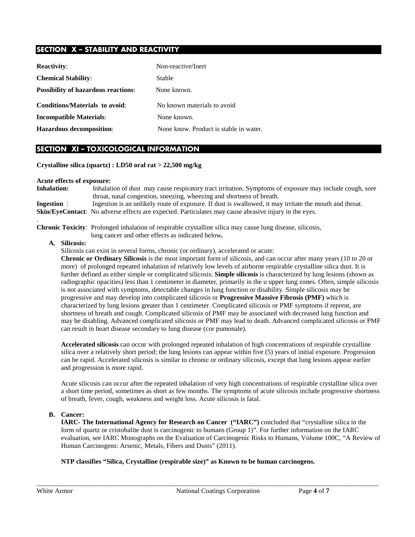# **SECTION X – STABILITY AND REACTIVITY**

| <b>Reactivity:</b>                         | Non-reactive/Inert                     |
|--------------------------------------------|----------------------------------------|
| <b>Chemical Stability:</b>                 | Stable                                 |
| <b>Possibility of hazardous reactions:</b> | None known.                            |
| Conditions/Materials to avoid:             | No known materials to avoid            |
| <b>Incompatible Materials:</b>             | None known.                            |
| <b>Hazardous decomposition:</b>            | None know. Product is stable in water. |

## **SECTION XI – TOXICOLOGICAL INFORMATION**

**Crystalline silica (quartz) : LD50 oral rat > 22,500 mg/kg**

#### **Acute effects of exposure:**

**Inhalation:** Inhalation of dust may cause respiratory tract irritation. Symptoms of exposure may include cough, sore throat, nasal congestion, sneezing, wheezing and shortness of breath. **Ingestion** : Ingestion is an unlikely route of exposure. If dust is swallowed, it may irritate the mouth and throat. **Skin/EyeContact**: No adverse effects are expected. Particulates may cause abrasive injury in the eyes.

**Chronic Toxicity**: Prolonged inhalation of respirable crystalline silica may cause lung disease, silicosis,

lung cancer and other effects as indicated below**.** 

**A. Silicosis:**

.

Silicosis can exist in several forms, chronic (or ordinary), accelerated or acute:

**Chronic or Ordinary Silicosis** is the most important form of silicosis, and can occur after many years (10 to 20 or more) of prolonged repeated inhalation of relatively low levels of airborne respirable crystalline silica dust. It is further defined as either simple or complicated silicosis. **Simple silicosis** is characterized by lung lesions (shown as radiographic opacities) less than 1 centimeter in diameter, primarily in the u upper lung zones. Often, simple silicosis is not associated with symptoms, detectable changes in lung function or disability. Simple silicosis may be progressive and may develop into complicated silicosis or **Progressive Massive Fibrosis (PMF)** which is characterized by lung lesions greater than 1 centimeter. Complicated silicosis or PMF symptoms if reprent, are shortness of breath and cough. Complicated silicosis of PMF may be associated with decreased lung function and may be disabling. Advanced complicated silicosis or PMF may lead to death. Advanced complicated silicosis or PMF can result in heart disease secondary to lung disease (cor pumonale).

**Accelerated silicosis** can occur with prolonged repeated inhalation of high concentrations of respirable crystalline silica over a relatively short period; the lung lesions can appear within five (5) years of initial exposure. Progression can be rapid. Accelerated silicosis is similar to chronic or ordinary silicosis, except that lung lesions appear earlier and progression is more rapid.

Acute silicosis can occur after the repeated inhalation of very high concentrations of respirable crystalline silica over a short time period, sometimes as short as few months. The symptoms of acute silicosis include progressive shortness of breath, fever, cough, weakness and weight loss. Acute silicosis is fatal.

#### **B. Cancer:**

**IARC- The International Agency for Research on Cancer ("IARC")** concluded that "crystalline silica in the form of quartz or cristobalite dust is carcinogenic to humans (Group 1)". For further information on the IARC evaluation, see IARC Monographs on the Evaluation of Carcinogenic Risks to Humans, Volume 100C, "A Review of Human Carcinogens: Arsenic, Metals, Fibers and Dusts" (2011).

**NTP classifies "Silica, Crystalline (respirable size)" as Known to be human carcinogens.**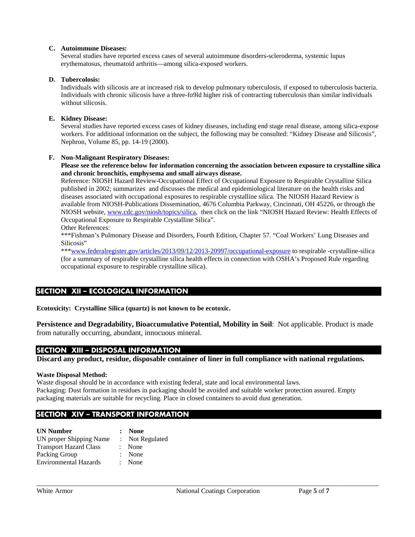#### **C. Autoimmune Diseases:**

Several studies have reported excess cases of several autoimmune disorders-scleroderma, systemic lupus erythematosus, rheumatoid arthritis—among silica-exposed workers.

#### **D. Tubercolosis:**

Individuals with silicosis are at increased risk to develop pulmonary tuberculosis, if exposed to tuberculosis bacteria. Individuals with chronic silicosis have a three-fo9ld higher risk of contracting tuberculosis than similar individuals without silicosis.

#### **E. Kidney Disease:**

Several studies have reported excess cases of kidney diseases, including end stage renal disease, among silica-expose workers. For additional information on the subject, the following may be consulted: "Kidney Disease and Silicosis", Nephron, Volume 85, pp. 14-19 (2000).

#### **F. Non-Malignant Respiratory Diseases:**

#### **Please see the reference below for information concerning the association between exposure to crystalline silica and chronic bronchitis, emphysema and small airways disease.**

Reference: NIOSH Hazard Review-Occupational Effect of Occupational Exposure to Respirable Crystalline Silica published in 2002; summarizes and discusses the medical and epidemiological literature on the health risks and diseases associated with occupational exposures to respirable crystalline silica. The NIOSH Hazard Review is available from NIOSH-Publications Dissemination, 4676 Columbia Parkway, Cincinnati, OH 45226, or through the NIOSH website, [www.cdc.gov/niosh/topics/silica,](http://www.cdc.gov/niosh/topics/silica) then click on the link "NIOSH Hazard Review: Health Effects of Occupational Exposure to Respirable Crystalline Silica".

Other References:

\*\*\*Fishman's Pulmonary Disease and Disorders, Fourth Edition, Chapter 57. "Coal Workers' Lung Diseases and Silicosis"

\*\*[\\*www.federalregister.gov/articles/2013/09/12/2013-20997/occupational-exposure](http://www.federalregister.gov/articles/2013/09/12/2013-20997/occupational-exposure) to respirable -crystalline-silica (for a summary of respirable crystalline silica health effects in connection with OSHA's Proposed Rule regarding occupational exposure to respirable crystalline silica).

# **SECTION XII – ECOLOGICAL INFORMATION**

**Ecotoxicity: Crystalline Silica (quartz) is not known to be ecotoxic.**

**Persistence and Degradability, Bioaccumulative Potential, Mobility in Soil**: Not applicable. Product is made from naturally occurring, abundant, innocuous mineral.

## **SECTION XIII – DISPOSAL INFORMATION**

**Discard any product, residue, disposable container of liner in full compliance with national regulations.**

#### **Waste Disposal Method:**

Waste disposal should be in accordance with existing federal, state and local environmental laws. Packaging: Dust formation in residues in packaging should be avoided and suitable worker protection assured. Empty packaging materials are suitable for recycling. Place in closed containers to avoid dust generation.

# **SECTION XIV – TRANSPORT INFORMATION**

| <b>UN Number</b>              | : None          |
|-------------------------------|-----------------|
| UN proper Shipping Name       | : Not Regulated |
| <b>Transport Hazard Class</b> | : None          |
| Packing Group                 | : None          |
| <b>Environmental Hazards</b>  | $:$ None        |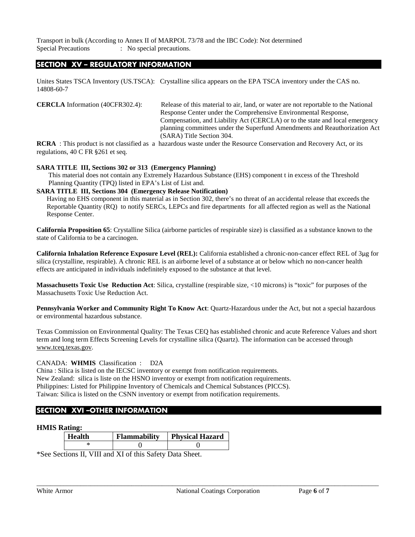Transport in bulk (According to Annex II of MARPOL 73/78 and the IBC Code): Not determined Special Precautions : No special precautions.

## **SECTION XV – REGULATORY INFORMATION**

Unites States TSCA Inventory (US.TSCA): Crystalline silica appears on the EPA TSCA inventory under the CAS no. 14808-60-7

**CERCLA** Information (40CFR302.4): Release of this material to air, land, or water are not reportable to the National Response Center under the Comprehensive Environmental Response, Compensation, and Liability Act (CERCLA) or to the state and local emergency planning committees under the Superfund Amendments and Reauthorization Act (SARA) Title Section 304.

**RCRA** : This product is not classified as a hazardous waste under the Resource Conservation and Recovery Act, or its regulations, 40 C FR §261 et seq.

#### **SARA TITLE III, Sections 302 or 313 (Emergency Planning)**

This material does not contain any Extremely Hazardous Substance (EHS) component t in excess of the Threshold Planning Quantity (TPQ) listed in EPA's List of List and.

#### **SARA TITLE III, Sections 304 (Emergency Release Notification)**

Having no EHS component in this material as in Section 302, there's no threat of an accidental release that exceeds the Reportable Quantity (RQ) to notify SERCs, LEPCs and fire departments for all affected region as well as the National Response Center.

**California Proposition 65**: Crystalline Silica (airborne particles of respirable size) is classified as a substance known to the state of California to be a carcinogen.

**California Inhalation Reference Exposure Level (REL):** California established a chronic-non-cancer effect REL of 3µg for silica (crystalline, respirable). A chronic REL is an airborne level of a substance at or below which no non-cancer health effects are anticipated in individuals indefinitely exposed to the substance at that level.

**Massachusetts Toxic Use Reduction Act**: Silica, crystalline (respirable size, <10 microns) is "toxic" for purposes of the Massachusetts Toxic Use Reduction Act.

**Pennsylvania Worker and Community Right To Know Act**: Quartz-Hazardous under the Act, but not a special hazardous or environmental hazardous substance.

Texas Commission on Environmental Quality: The Texas CEQ has established chronic and acute Reference Values and short term and long term Effects Screening Levels for crystalline silica (Quartz). The information can be accessed through www.tceq.texas.gov.

#### CANADA: **WHMIS** Classification : D2A

China : Silica is listed on the IECSC inventory or exempt from notification requirements. New Zealand: silica is liste on the HSNO inventoy or exempt from notification requirements. Philippines: Listed for Philippine Inventory of Chemicals and Chemical Substances (PICCS). Taiwan: Silica is listed on the CSNN inventory or exempt from notification requirements.

# **SECTION XVI –OTHER INFORMATION**

#### **HMIS Rating:**

| Health | <b>Flammability</b> | <b>Physical Hazard</b> |
|--------|---------------------|------------------------|
|        |                     |                        |

\*See Sections II, VIII and XI of this Safety Data Sheet.